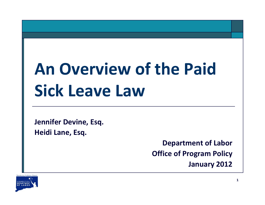# **An Overview of the Paid Sick Leave Law**

**Jennifer Devine, Esq. Heidi Lane, Esq.**

> **Department of Labor Office of Program Policy January 2012**

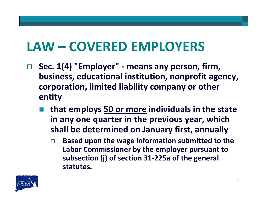## **LAW – COVERED EMPLOYERS**

- $\Box$  **Sec. 1(4) "Employer" ‐ means any person, firm, business, educational institution, nonprofit agency, corporation, limited liability company or other entity**
	- **that employs 50 or more individuals in the state in any one quarter in the previous year, which shall be determined on January first, annually**
		- $\Box$  **Based upon the wage information submitted to the Labor Commissioner by the employer pursuant to subsection (j) of section 31‐225a of the general statutes.**

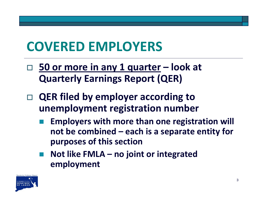## **COVERED EMPLOYERS**

- **50 or more in any 1 quarter – look at Quarterly Earnings Report (QER)**
- $\Box$  **QER filed by employer according to unemployment registration number**
	- **Employers with more than one registration will not be combined – each is <sup>a</sup> separate entity for purposes of this section**
	- **Not like FMLA – no joint or integrated employment**

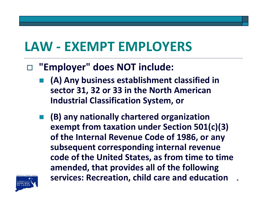#### **LAW ‐ EXEMPT EMPLOYERS**

- $\Box$  **"Employer" does NOT include:**
	- **(A) Any business establishment classified in sector 31, 32 or 33 in the North American Industrial Classification System, or**
	- **Service Service (B) any nationally chartered organization exempt from taxation under Section 501(c)(3) of the Internal Revenue Code of 1986, or any subsequent corresponding internal revenue code of the United States, as from time to time amended, that provides all of the following services: Recreation, child care and education**

4

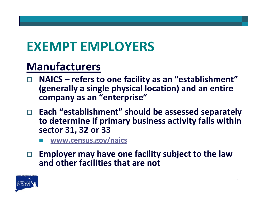## **EXEMPT EMPLOYERS**

#### **Manufacturers**

- **NAICS – refers to one facility as an "establishment" (generally <sup>a</sup> single physical location) and an entire company as an "enterprise"**
- **Each "establishment" should be assessed separately to determine if primary business activity falls within sector 31, 32 or 33**
	- T **[www.census.gov/naics](http://www.census.gov/naics)**

 **Employer may have one facility subject to the law and other facilities that are not**

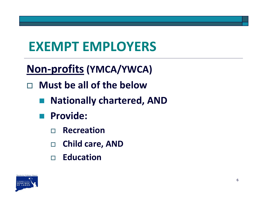## **EXEMPT EMPLOYERS**

- **Non‐profits (YMCA/YWCA)**
- $\Box$  **Must be all of the below**
	- **Nationally chartered, AND**
	- an<br>Ma **Provide:**
		- $\Box$ **Recreation**
		- $\Box$ **Child care, AND**
		- **Education**

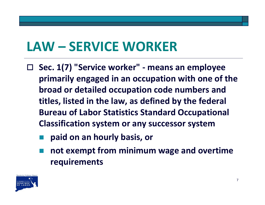## **LAW – SERVICE WORKER**

- $\Box$  **Sec. 1(7) "Service worker" ‐ means an employee primarily engaged in an occupation with one of the broad or detailed occupation code numbers and titles, listed in the law, as defined by the federal Bureau of Labor Statistics Standard Occupational Classification system or any successor system**
	- **paid on an hourly basis, or**
	- **not exempt from minimum wage and overtime requirements**

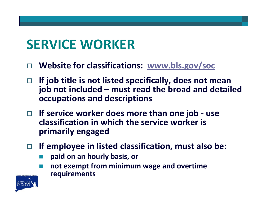- $\Box$ **Website for classifications: [www.bls.gov/soc](http://www.bls.gov/soc)**
- $\Box$  **If job title is not listed specifically, does not mean job not included – must read the broad and detailed occupations and descriptions**
- **If service worker does more than one job ‐ use classification in which the service worker is primarily engaged**
- $\Box$  **If employee in listed classification, must also be:**
	- **paid on an hourly basis, or**
	- T **not exempt from minimum wage and overtime requirements**

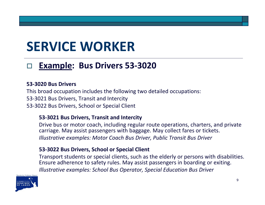#### $\Box$ **Example: Bus Drivers 53‐3020**

#### **53‐3020 Bus Drivers**

This broad occupation includes the following two detailed occupations: 53‐3021 Bus Drivers, Transit and Intercity 53‐3022 Bus Drivers, School or Special Client

#### **53‐3021 Bus Drivers, Transit and Intercity**

Drive bus or motor coach, including regular route operations, charters, and private carriage. May assist passengers with baggage. May collect fares or tickets. *Illustrative examples: Motor Coach Bus Driver, Public Transit Bus Driver*

#### **53‐3022 Bus Drivers, School or Special Client**

Transport students or special clients, such as the elderly or persons with disabilities. Ensure adherence to safety rules. May assist passengers in boarding or exiting. *Illustrative examples: School Bus Operator, Special Education Bus Driver*

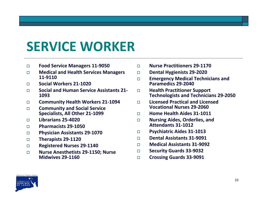- $\Box$ **Food Service Managers 11‐9050**
- П **Medical and Health Services Managers 11‐9110**
- П **Social Workers 21‐1020**
- $\Box$  **Social and Human Service Assistants 21‐ 1093**
- П **Community Health Workers 21‐1094**
- $\Box$  **Community and Social Service Specialists, All Other 21‐1099**
- $\Box$ **Librarians 25‐4020**
- $\Box$ **Pharmacists 29‐1050**
- $\Box$ **Physician Assistants 29‐1070**
- $\Box$ **Therapists 29‐1120**
- $\Box$ **Registered Nurses 29‐1140**
- $\Box$  **Nurse Anesthetists 29‐1150; Nurse Midwives 29‐1160**
- $\Box$ **Nurse Practitioners 29‐1170**
- $\Box$ **Dental Hygienists 29‐2020**
- $\Box$  **Emergency Medical Technicians and Paramedics 29‐2040**
- $\Box$  **Health Practitioner Support Technologists and Technicians 29‐2050**
- $\Box$  **Licensed Practical and Licensed Vocational Nurses 29‐2060**
- $\Box$ **Home Health Aides 31‐1011**
- $\Box$  **Nursing Aides, Orderlies, and Attendants 31‐1012**
- $\Box$ **Psychiatric Aides 31‐1013**
- $\Box$ **Dental Assistants 31‐9091**
- $\Box$ **Medical Assistants 31‐9092**
- $\Box$ **Security Guards 33‐9032**
- $\Box$ **Crossing Guards 33‐9091**

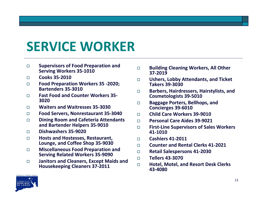- $\Box$  **Supervisors of Food Preparation and Serving Workers 35‐1010**
- $\Box$ **Cooks 35‐2010**
- П **Food Preparation Workers 35 ‐2020; Bartenders 35‐3010**
- $\Box$  **Fast Food and Counter Workers 35‐ 3020**
- $\Box$ **Waiters and Waitresses 35‐3030**
- П **Food Servers, Nonrestaurant 35‐3040**
- $\Box$  **Dining Room and Cafeteria Attendants and Bartender Helpers 35‐9010**
- П **Dishwashers 35‐9020**
- $\Box$  **Hosts and Hostesses, Restaurant, Lounge, and Coffee Shop 35‐9030**
- $\Box$  **Miscellaneous Food Preparation and Serving Related Workers 35‐9090**
- $\Box$  **Janitors and Cleaners, Except Maids and Housekeeping Cleaners 37‐2011**
- $\Box$  **Building Cleaning Workers, All Other 37‐2019**
- $\Box$  **Ushers, Lobby Attendants, and Ticket Takers 39‐3030**
- $\Box$  **Barbers, Hairdressers, Hairstylists, and Cosmetologists 39‐5010**
- $\Box$  **Baggage Porters, Bellhops, and Concierges 39‐6010**
- $\Box$ **Child Care Workers 39‐9010**
- $\Box$ **Personal Care Aides 39‐9021**
- $\Box$  **First‐Line Supervisors of Sales Workers 41‐1010**
- $\Box$ **Cashiers 41‐2011**
- $\Box$ **Counter and Rental Clerks 41‐2021**
- $\Box$ **Retail Salespersons 41‐2030**
- $\Box$ **Tellers 43‐3070**
- П **Hotel, Motel, and Resort Desk Clerks 43‐4080**

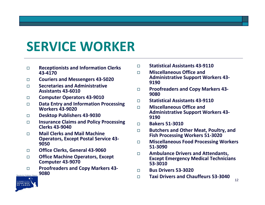- $\Box$  **Receptionists and Information Clerks 43‐4170**
- $\Box$ **Couriers and Messengers 43‐5020**
- $\Box$  **Secretaries and Administrative Assistants 43‐6010**
- $\Box$ **Computer Operators 43‐9010**
- $\Box$  **Data Entry and Information Processing Workers 43‐9020**
- $\Box$ **Desktop Publishers 43‐9030**
- $\Box$  **Insurance Claims and Policy Processing Clerks 43‐9040**
- П **Mail Clerks and Mail Machine Operators, Except Postal Service 43‐ 9050**
- $\Box$ **Office Clerks, General 43‐9060**
- $\Box$  **Office Machine Operators, Except Computer 43‐9070**
- **Proofreaders and Copy Markers 43‐**  $\Box$ **9080**Opportunity \* Guidance \* Support



- П. **Miscellaneous Office and Administrative Support Workers 43‐ 9190**
- $\Box$  **Proofreaders and Copy Markers 43‐ 9080**
- $\Box$ **Statistical Assistants 43‐9110**
- $\Box$  **Miscellaneous Office and Administrative Support Workers 43‐ 9190**
- $\Box$ **Bakers 51‐3010**
- $\Box$  **Butchers and Other Meat, Poultry, and Fish Processing Workers 51‐3020**
- $\Box$  **Miscellaneous Food Processing Workers 51‐3090**
- $\Box$  **Ambulance Drivers and Attendants, Except Emergency Medical Technicians 53‐3010**
- $\Box$ **Bus Drivers 53‐3020**
- $\Box$ **Taxi Drivers and Chauffeurs 53‐3040**

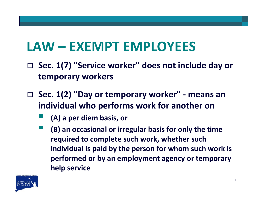## **LAW – EXEMPT EMPLOYEES**

- **Sec. 1(7) "Service worker" does not include day or temporary workers**
- **Sec. 1(2) "Day or temporary worker" ‐ means an individual who performs work for another on**
	- **(A) <sup>a</sup> per diem basis, or**
	- **(B) an occasional or irregular basis for only the time required to complete such work, whether such individual is paid by the person for whom such work is performed or by an employment agency or temporary help service**

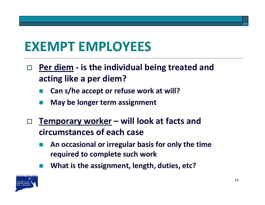## **EXEMPT EMPLOYEES**

- $\Box$  **Per diem ‐ is the individual being treated and acting like <sup>a</sup> per diem?**
	- **Can s/he accept or refuse work at will?**
	- **May be longer term assignment**
- $\overline{\Box}$  **Temporary worker – will look at facts and circumstances of each case**
	- **An occasional or irregular basis for only the time required to complete such work**
	- **What is the assignment, length, duties, etc?**

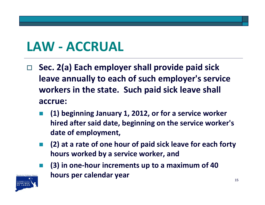#### **LAW ‐ ACCRUAL**

- $\Box$  **Sec. 2(a) Each employer shall provide paid sick leave annually to each of such employer's service workers in the state. Such paid sick leave shall accrue:**
	- **(1) beginning January 1, 2012, or for <sup>a</sup> service worker hired after said date, beginning on the service worker's date of employment,**
	- F **(2) at <sup>a</sup> rate of one hour of paid sick leave for each forty hours worked by <sup>a</sup> service worker, and**



 **(3) in one‐hour increments up to <sup>a</sup> maximum of 40 hours per calendar year**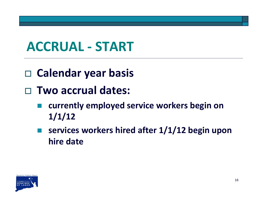#### **ACCRUAL ‐ START**

- **Calendar year basis**
- **Two accrual dates:**
	- **currently employed service workers begin on 1/1/12**
	- **services workers hired after 1/1/12 begin upon hire date**

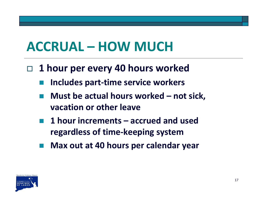#### **ACCRUAL – HOW MUCH**

- **1 hour per every 40 hours worked**
	- **Service Service Includes part‐time service workers**
	- **Must be actual hours worked – not sick, vacation or other leave**
	- **Service Service 1 hour increments – accrued and used regardless of time‐keeping system**
	- **Max out at 40 hours per calendar year**

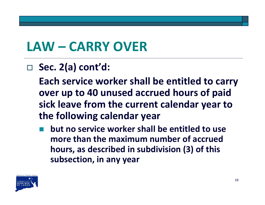## **LAW – CARRY OVER**

#### **Sec. 2(a) cont'd:**

**Each service worker shall be entitled to carry over up to 40 unused accrued hours of paid sick leave from the current calendar year to the following calendar year**

**Service Service but no service worker shall be entitled to use more than the maximum number of accrued hours, as described in subdivision (3) of this subsection, in any year**

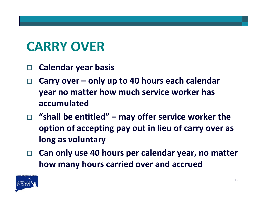### **CARRY OVER**

- $\Box$ **Calendar year basis**
- $\Box$  **Carry over – only up to 40 hours each calendar year no matter how much service worker has accumulated**
- **"shall be entitled" – may offer service worker the option of accepting pay out in lieu of carry over as long as voluntary**
- $\Box$  **Can only use 40 hours per calendar year, no matter how many hours carried over and accrued**

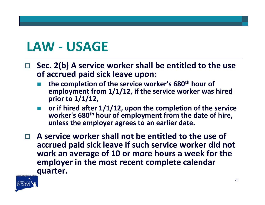#### **LAW ‐ USAGE**

- $\Box$  **Sec. 2(b) A service worker shall be entitled to the use of accrued paid sick leave upon:**
	- E **the completion of the service worker's 680th hour of employment from 1/1/12, if the service worker was hired prior to 1/1/12,**
	- **or if hired after 1/1/12, upon the completion of the service worker's 680th hour of employment from the date of hire, unless the employer agrees to an earlier date.**
- **A service worker shall not be entitled to the use of accrued paid sick leave if such service worker did not work an average of 10 or more hours <sup>a</sup> week for the employer in the most recent complete calendar quarter.**

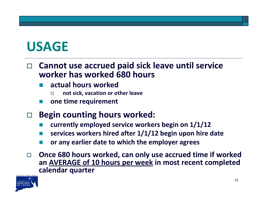#### **USAGE**

#### $\Box$  **Cannot use accrued paid sick leave until service worker has worked 680 hours**

- **actual hours worked**
	- П **not sick, vacation or other leave**
- **one time requirement**
- n. **Begin counting hours worked:**
	- **currently employed service workers begin on 1/1/12**
	- **services workers hired after 1/1/12 begin upon hire date**
	- **or any earlier date to which the employer agrees**
- $\Box$  **Once 680 hours worked, can only use accrued time if worked an AVERAGE of 10 hours per week in most recent completed calendar quarter**

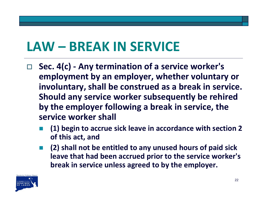#### **LAW – BREAK IN SERVICE**

- $\Box$  **Sec. 4(c) ‐ Any termination of <sup>a</sup> service worker's employment by an employer, whether voluntary or involuntary, shall be construed as <sup>a</sup> break in service. Should any service worker subsequently be rehired by the employer following <sup>a</sup> break in service, the service worker shall**
	- T **(1) begin to accrue sick leave in accordance with section 2 of this act, and**
	- **(2) shall not be entitled to any unused hours of paid sick leave that had been accrued prior to the service worker's break in service unless agreed to by the employer.**

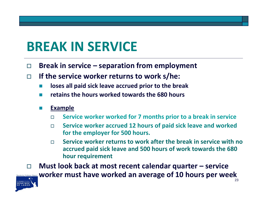#### **BREAK IN SERVICE**

- П **Break in service – separation from employment**
- П **If the service worker returns to work s/he:**
	- $\overline{\phantom{a}}$ **loses all paid sick leave accrued prior to the break**
	- F) **retains the hours worked towards the 680 hours**
	- F) **Example**
		- $\Box$ **Service worker worked for 7 months prior to <sup>a</sup> break in service**
		- п **Service worker accrued 12 hours of paid sick leave and worked for the employer for 500 hours.**
		- $\Box$  **Service worker returns to work after the break in service with no accrued paid sick leave and 500 hours of work towards the 680 hour requirement**

П **Must look back at most recent calendar quarter – service worker must have worked an average of 10 hours per week**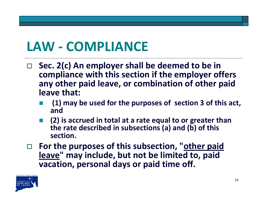## **LAW ‐ COMPLIANCE**

- $\Box$  **Sec. 2(c) An employer shall be deemed to be in compliance with this section if the employer offers any other paid leave, or combination of other paid leave that:**
	- **(1) may be used for the purposes of section 3 of this act, and**
	- **(2) is accrued in total at <sup>a</sup> rate equal to or greater than the rate described in subsections (a) and (b) of this section.**
- **For the purposes of this subsection, "other paid leave" may include, but not be limited to, paid vacation, personal days or paid time off.**

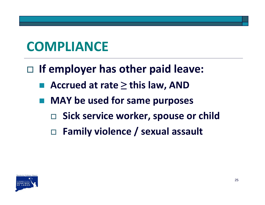## **COMPLIANCE**

- **If employer has other paid leave:**
	- **Accrued at rate ≥ this law, AND**
	- **MAY be used for same purposes**
		- **Sick service worker, spouse or child**
		- **Family violence / sexual assault**

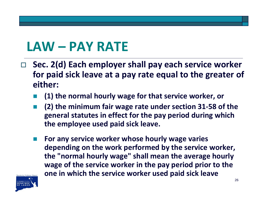#### **LAW – PAY RATE**

- **Sec. 2(d) Each employer shall pay each service worker for paid sick leave at <sup>a</sup> pay rate equal to the greater of either:**
	- F **(1) the normal hourly wage for that service worker, or**
	- T **(2) the minimum fair wage rate under section 31‐58 of the general statutes in effect for the pay period during which the employee used paid sick leave.**
	- **For any service worker whose hourly wage varies depending on the work performed by the service worker, the "normal hourly wage" shall mean the average hourly wage of the service worker in the pay period prior to the one in which the service worker used paid sick leave**

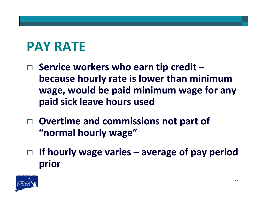## **PAY RATE**

- **Service workers who earn tip credit – because hourly rate is lower than minimum wage, would be paid minimum wage for any paid sick leave hours used**
- **Overtime and commissions not part of "normal hourly wage"**
- **If hourly wage varies – average of pay period prior**

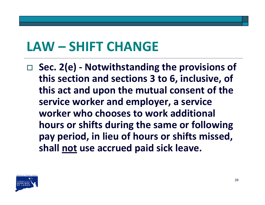#### **LAW – SHIFT CHANGE**

 **Sec. 2(e) ‐ Notwithstanding the provisions of this section and sections 3 to 6, inclusive, of this act and upon the mutual consent of the service worker and employer, <sup>a</sup> service worker who chooses to work additional hours or shifts during the same or following pay period, in lieu of hours or shifts missed, shall not use accrued paid sick leave.**

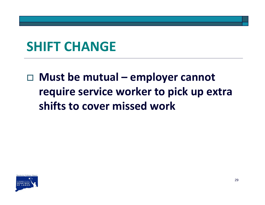#### **SHIFT CHANGE**

#### **Must be mutual – employer cannot require service worker to pick up extra shifts to cover missed work**

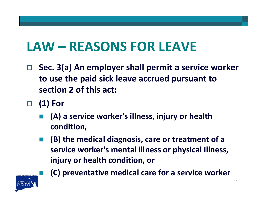## **LAW – REASONS FOR LEAVE**

- $\Box$  **Sec. 3(a) An employer shall permit <sup>a</sup> service worker to use the paid sick leave accrued pursuant to section 2 of this act:**
- $\Box$  **(1) For**
	- **(A) <sup>a</sup> service worker's illness, injury or health condition,**
	- k. **(B) the medical diagnosis, care or treatment of <sup>a</sup> service worker's mental illness or physical illness, injury or health condition, or**



**(C) preventative medical care for <sup>a</sup> service worker**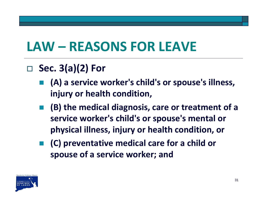## **LAW – REASONS FOR LEAVE**

#### **Sec. 3(a)(2) For**

- **(A) <sup>a</sup> service worker's child's or spouse's illness, injury or health condition,**
- **(B) the medical diagnosis, care or treatment of <sup>a</sup> service worker's child's or spouse's mental or physical illness, injury or health condition, or**
- **(C) preventative medical care for <sup>a</sup> child or spouse of <sup>a</sup> service worker; and**

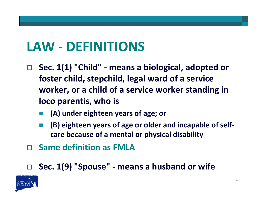#### **LAW ‐ DEFINITIONS**

- $\Box$  **Sec. 1(1) "Child" ‐ means <sup>a</sup> biological, adopted or foster child, stepchild, legal ward of <sup>a</sup> service worker, or <sup>a</sup> child of <sup>a</sup> service worker standing in loco parentis, who is**
	- **(A) under eighteen years of age; or**
	- **(B) eighteen years of age or older and incapable of self‐ care because of <sup>a</sup> mental or physical disability**
- $\Box$ **Same definition as FMLA**

#### $\Box$ **Sec. 1(9) "Spouse" ‐ means <sup>a</sup> husband or wife**

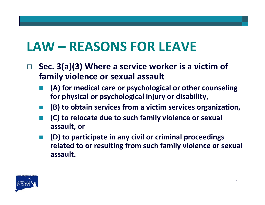### **LAW – REASONS FOR LEAVE**

- $\Box$  **Sec. 3(a)(3) Where <sup>a</sup> service worker is <sup>a</sup> victim of family violence or sexual assault**
	- **(A) for medical care or psychological or other counseling for physical or psychological injury or disability,**
	- **(B) to obtain services from <sup>a</sup> victim services organization,**
	- **(C) to relocate due to such family violence or sexual assault, or**
	- **(D) to participate in any civil or criminal proceedings related to or resulting from such family violence or sexual assault.**

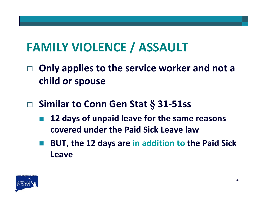#### **FAMILY VIOLENCE / ASSAULT**

- $\Box$  **Only applies to the service worker and not <sup>a</sup> child or spouse**
- **Similar to Conn Gen Stat § 31‐51ss**
	- **12 days of unpaid leave for the same reasons covered under the Paid Sick Leave law**
	- **Service Service BUT, the 12 days are in addition to the Paid Sick Leave**

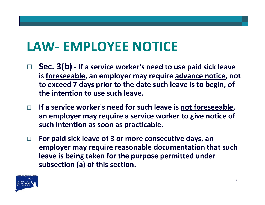#### **LAW‐ EMPLOYEE NOTICE**

- **Sec. 3(b) ‐ If <sup>a</sup> service worker's need to use paid sick leave is foreseeable, an employer may require advance notice, not to exceed 7 days prior to the date such leave is to begin, of the intention to use such leave.**
- $\Box$  **If <sup>a</sup> service worker's need for such leave is not foreseeable, an employer may require <sup>a</sup> service worker to give notice of such intention as soon as practicable.**
- П **For paid sick leave of 3 or more consecutive days, an employer may require reasonable documentation that such leave is being taken for the purpose permitted under subsection (a) of this section.**

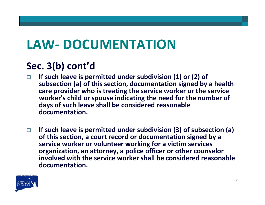### **LAW‐ DOCUMENTATION**

#### **Sec. 3(b) cont'd**

- $\Box$  **If such leave is permitted under subdivision (1) or (2) of subsection (a) of this section, documentation signed by <sup>a</sup> health care provider who is treating the service worker or the service worker's child or spouse indicating the need for the number of days of such leave shall be considered reasonable documentation.**
- $\Box$  **If such leave is permitted under subdivision (3) of subsection (a) of this section, <sup>a</sup> court record or documentation signed by <sup>a</sup> service worker or volunteer working for <sup>a</sup> victim services organization, an attorney, <sup>a</sup> police officer or other counselor involved with the service worker shall be considered reasonable documentation.**

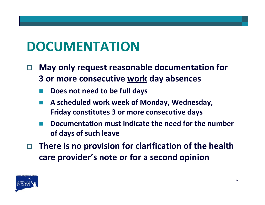#### **DOCUMENTATION**

- $\Box$  **May only request reasonable documentation for 3 or more consecutive work day absences**
	- **Does not need to be full days**
	- **A scheduled work week of Monday, Wednesday, Friday constitutes 3 or more consecutive days**
	- F **Documentation must indicate the need for the number of days of such leave**
- $\Box$  **There is no provision for clarification of the health care provider's note or for a second opinion**

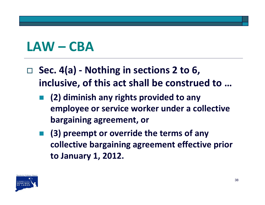#### **LAW – CBA**

- **Sec. 4(a) ‐ Nothing in sections 2 to 6, inclusive, of this act shall be construed to …**
	- **(2) diminish any rights provided to any employee or service worker under <sup>a</sup> collective bargaining agreement, or**
	- **(3) preempt or override the terms of any collective bargaining agreement effective prior to January 1, 2012.**

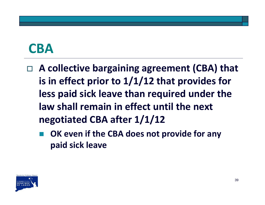#### **CBA**

- **A collective bargaining agreement (CBA) that is in effect prior to 1/1/12 that provides for less paid sick leave than required under the law shall remain in effect until the next negotiated CBA after 1/1/12**
	- **OK even if the CBA does not provide for any paid sick leave**

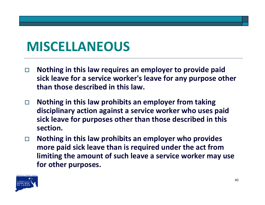#### **MISCELLANEOUS**

- $\Box$  **Nothing in this law requires an employer to provide paid sick leave for a service worker's leave for any purpose other than those described in this law.**
- $\Box$  **Nothing in this law prohibits an employer from taking disciplinary action against a service worker who uses paid sick leave for purposes other than those described in this section.**
- $\Box$  **Nothing in this law prohibits an employer who provides more paid sick leave than is required under the act from limiting the amount of such leave a service worker may use for other purposes.**

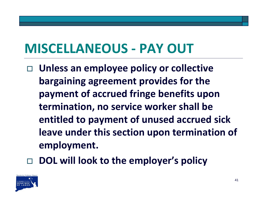## **MISCELLANEOUS ‐ PAY OUT**

- **Unless an employee policy or collective bargaining agreement provides for the payment of accrued fringe benefits upon termination, no service worker shall be entitled to payment of unused accrued sick leave under this section upon termination of employment.**
- $\Box$ **DOL will look to the employer's policy**

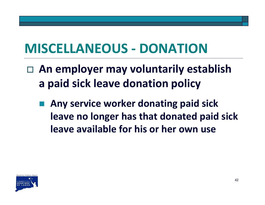## **MISCELLANEOUS ‐ DONATION**

- **An employer may voluntarily establish a paid sick leave donation policy**
	- **Any service worker donating paid sick leave no longer has that donated paid sick leave available for his or her own use**

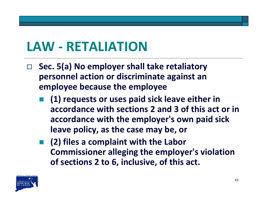#### **LAW ‐ RETALIATION**

- $\Box$  **Sec. 5(a) No employer shall take retaliatory personnel action or discriminate against an employee because the employee**
	- **(1) requests or uses paid sick leave either in accordance with sections 2 and 3 of this act or in accordance with the employer's own paid sick leave policy, as the case may be, or**
	- **(2) files <sup>a</sup> complaint with the Labor Commissioner alleging the employer's violation of sections 2 to 6, inclusive, of this act.**

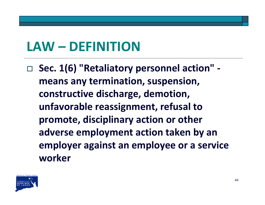#### **LAW – DEFINITION**

 **Sec. 1(6) "Retaliatory personnel action" ‐ means any termination, suspension, constructive discharge, demotion, unfavorable reassignment, refusal to promote, disciplinary action or other adverse employment action taken by an employer against an employee or <sup>a</sup> service worker**

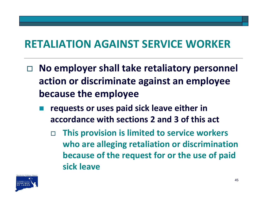#### **RETALIATION AGAINST SERVICE WORKER**

- $\Box$  **No employer shall take retaliatory personnel action or discriminate against an employee because the employee**
	- **requests or uses paid sick leave either in accordance with sections 2 and 3 of this act**
		- $\Box$  **This provision is limited to service workers who are alleging retaliation or discrimination because of the request for or the use of paid sick leave**

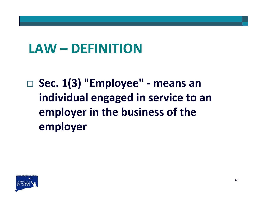#### **LAW – DEFINITION**

 **Sec. 1(3) "Employee" ‐ means an individual engaged in service to an employer in the business of the employer**

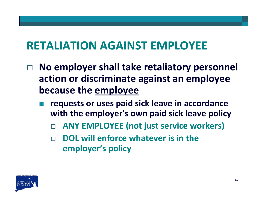#### **RETALIATION AGAINST EMPLOYEE**

- $\Box$  **No employer shall take retaliatory personnel action or discriminate against an employee because the employee**
	- **requests or uses paid sick leave in accordance with the employer's own paid sick leave policy**
		- $\Box$ **ANY EMPLOYEE (not just service workers)**
		- $\Box$  **DOL will enforce whatever is in the employer's policy**

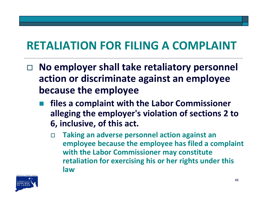#### **RETALIATION FOR FILING A COMPLAINT**

- $\Box$  **No employer shall take retaliatory personnel action or discriminate against an employee because the employee**
	- **files <sup>a</sup> complaint with the Labor Commissioner alleging the employer's violation of sections 2 to 6, inclusive, of this act.**
		- $\Box$  **Taking an adverse personnel action against an employee because the employee has filed <sup>a</sup> complaint with the Labor Commissioner may constitute retaliation for exercising his or her rights under this law**

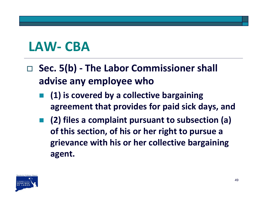#### **LAW‐ CBA**

- **Sec. 5(b) ‐ The Labor Commissioner shall advise any employee who**
	- **(1) is covered by <sup>a</sup> collective bargaining agreement that provides for paid sick days, and**
	- **(2) files <sup>a</sup> complaint pursuant to subsection (a) of this section, of his or her right to pursue <sup>a</sup> grievance with his or her collective bargaining agent.**

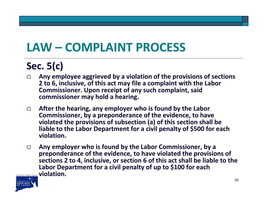#### **LAW – COMPLAINT PROCESS**

#### **Sec. 5(c)**

- П **Any employee aggrieved by <sup>a</sup> violation of the provisions of sections 2 to 6, inclusive, of this act may file <sup>a</sup> complaint with the Labor Commissioner. Upon receipt of any such complaint, said commissioner may hold <sup>a</sup> hearing.**
- $\Box$  **After the hearing, any employer who is found by the Labor Commissioner, by <sup>a</sup> preponderance of the evidence, to have violated the provisions of subsection (a) of this section shall be liable to the Labor Department for <sup>a</sup> civil penalty of \$500 for each violation.**
- $\Box$  **Any employer who is found by the Labor Commissioner, by <sup>a</sup> preponderance of the evidence, to have violated the provisions of sections 2 to 4, inclusive, or section 6 of this act shall be liable to the Labor Department for <sup>a</sup> civil penalty of up to \$100 for each violation.**

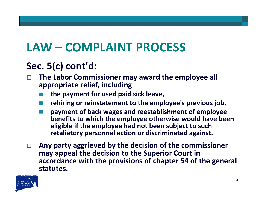#### **LAW – COMPLAINT PROCESS**

#### **Sec. 5(c) cont'd:**

- $\Box$  **The Labor Commissioner may award the employee all appropriate relief, including**
	- **the payment for used paid sick leave,**
	- **rehiring or reinstatement to the employee's previous job,**
	- E **payment of back wages and reestablishment of employee benefits to which the employee otherwise would have been eligible if the employee had not been subject to such retaliatory personnel action or discriminated against.**
- $\Box$  **Any party aggrieved by the decision of the commissioner may appeal the decision to the Superior Court in accordance with the provisions of chapter 54 of the general statutes.**

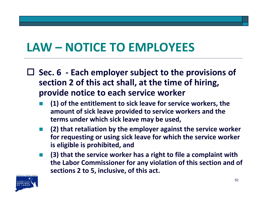#### **LAW – NOTICE TO EMPLOYEES**

- **Sec. 6 ‐ Each employer subject to the provisions of section 2 of this act shall, at the time of hiring, provide notice to each service worker**
	- **(1) of the entitlement to sick leave for service workers, the amount of sick leave provided to service workers and the terms under which sick leave may be used,**
	- **(2) that retaliation by the employer against the service worker for requesting or using sick leave for which the service worker is eligible is prohibited, and**
	- **(3) that the service worker has <sup>a</sup> right to file <sup>a</sup> complaint with the Labor Commissioner for any violation of this section and of sections 2 to 5, inclusive, of this act.**

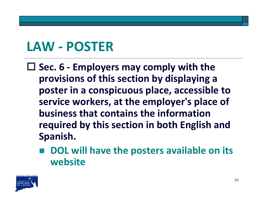#### **LAW ‐ POSTER**

 **Sec. 6 ‐ Employers may comply with the provisions of this section by displaying <sup>a</sup> poster in <sup>a</sup> conspicuous place, accessible to service workers, at the employer's place of business that contains the informationrequired by this section in both English and Spanish.**

 **DOL will have the posters available on its website**